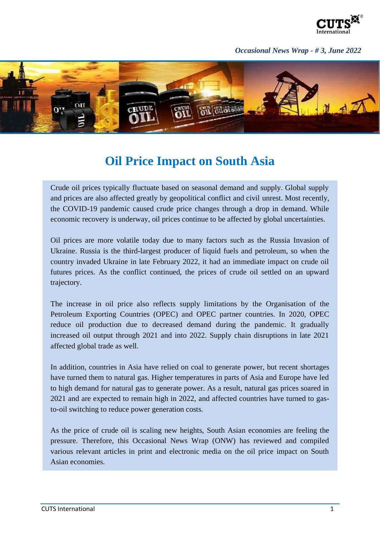

## *Occasional News Wrap - # 3, June 2022*



## **Oil Price Impact on South Asia**

Crude oil prices typically fluctuate based on seasonal demand and supply. Global supply and prices are also affected greatly by geopolitical conflict and civil unrest. Most recently, the COVID-19 pandemic caused crude price changes through a drop in demand. While economic recovery is underway, oil prices continue to be affected by global uncertainties.

Oil prices are more volatile today due to many factors such as the Russia Invasion of Ukraine. Russia is the third-largest producer of liquid fuels and petroleum, so when the country invaded Ukraine in late February 2022, it had an immediate impact on crude oil futures prices. As the conflict continued, the prices of crude oil settled on an upward trajectory.

The increase in oil price also reflects supply limitations by the Organisation of the Petroleum Exporting Countries (OPEC) and OPEC partner countries. In 2020, OPEC reduce oil production due to decreased demand during the pandemic. It gradually increased oil output through 2021 and into 2022. Supply chain disruptions in late 2021 affected global trade as well.

In addition, countries in Asia have relied on coal to generate power, but recent shortages have turned them to natural gas. Higher temperatures in parts of Asia and Europe have led to high demand for natural gas to generate power. As a result, natural gas prices soared in 2021 and are expected to remain high in 2022, and affected countries have turned to gasto-oil switching to reduce power generation costs.

As the price of crude oil is scaling new heights, South Asian economies are feeling the pressure. Therefore, this Occasional News Wrap (ONW) has reviewed and compiled various relevant articles in print and electronic media on the oil price impact on South Asian economies.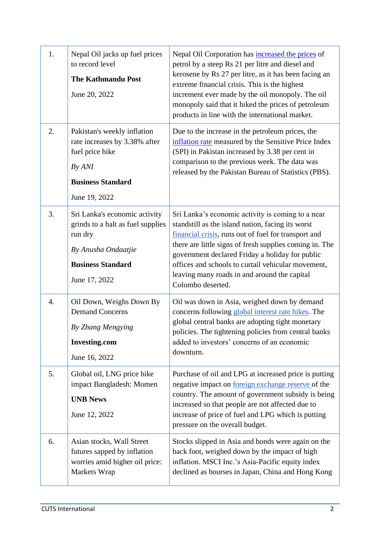| 1. | Nepal Oil jacks up fuel prices<br>to record level<br><b>The Kathmandu Post</b><br>June 20, 2022                                                   | Nepal Oil Corporation has increased the prices of<br>petrol by a steep Rs 21 per litre and diesel and<br>kerosene by Rs 27 per litre, as it has been facing an<br>extreme financial crisis. This is the highest<br>increment ever made by the oil monopoly. The oil<br>monopoly said that it hiked the prices of petroleum<br>products in line with the international market.                           |
|----|---------------------------------------------------------------------------------------------------------------------------------------------------|---------------------------------------------------------------------------------------------------------------------------------------------------------------------------------------------------------------------------------------------------------------------------------------------------------------------------------------------------------------------------------------------------------|
| 2. | Pakistan's weekly inflation<br>rate increases by 3.38% after<br>fuel price hike<br>By ANI                                                         | Due to the increase in the petroleum prices, the<br>inflation rate measured by the Sensitive Price Index<br>(SPI) in Pakistan increased by 3.38 per cent in<br>comparison to the previous week. The data was<br>released by the Pakistan Bureau of Statistics (PBS).                                                                                                                                    |
|    | <b>Business Standard</b><br>June 19, 2022                                                                                                         |                                                                                                                                                                                                                                                                                                                                                                                                         |
| 3. | Sri Lanka's economic activity<br>grinds to a halt as fuel supplies<br>run dry<br>By Anusha Ondaatjie<br><b>Business Standard</b><br>June 17, 2022 | Sri Lanka's economic activity is coming to a near<br>standstill as the island nation, facing its worst<br>financial crisis, runs out of fuel for transport and<br>there are little signs of fresh supplies coming in. The<br>government declared Friday a holiday for public<br>offices and schools to curtail vehicular movement,<br>leaving many roads in and around the capital<br>Colombo deserted. |
| 4. | Oil Down, Weighs Down By<br><b>Demand Concerns</b><br>By Zhang Mengying<br><b>Investing.com</b><br>June 16, 2022                                  | Oil was down in Asia, weighed down by demand<br>concerns following global interest rate hikes. The<br>global central banks are adopting tight monetary<br>policies. The tightening policies from central banks<br>added to investors' concerns of an economic<br>downturn.                                                                                                                              |
| 5. | Global oil, LNG price hike<br>impact Bangladesh: Momen<br><b>UNB News</b><br>June 12, 2022                                                        | Purchase of oil and LPG at increased price is putting<br>negative impact on <u>foreign exchange reserve</u> of the<br>country. The amount of government subsidy is being<br>increased so that people are not affected due to<br>increase of price of fuel and LPG which is putting<br>pressure on the overall budget.                                                                                   |
| 6. | Asian stocks, Wall Street<br>futures sapped by inflation<br>worries amid higher oil price:<br>Markets Wrap                                        | Stocks slipped in Asia and bonds were again on the<br>back foot, weighed down by the impact of high<br>inflation. MSCI Inc.'s Asia-Pacific equity index<br>declined as bourses in Japan, China and Hong Kong                                                                                                                                                                                            |